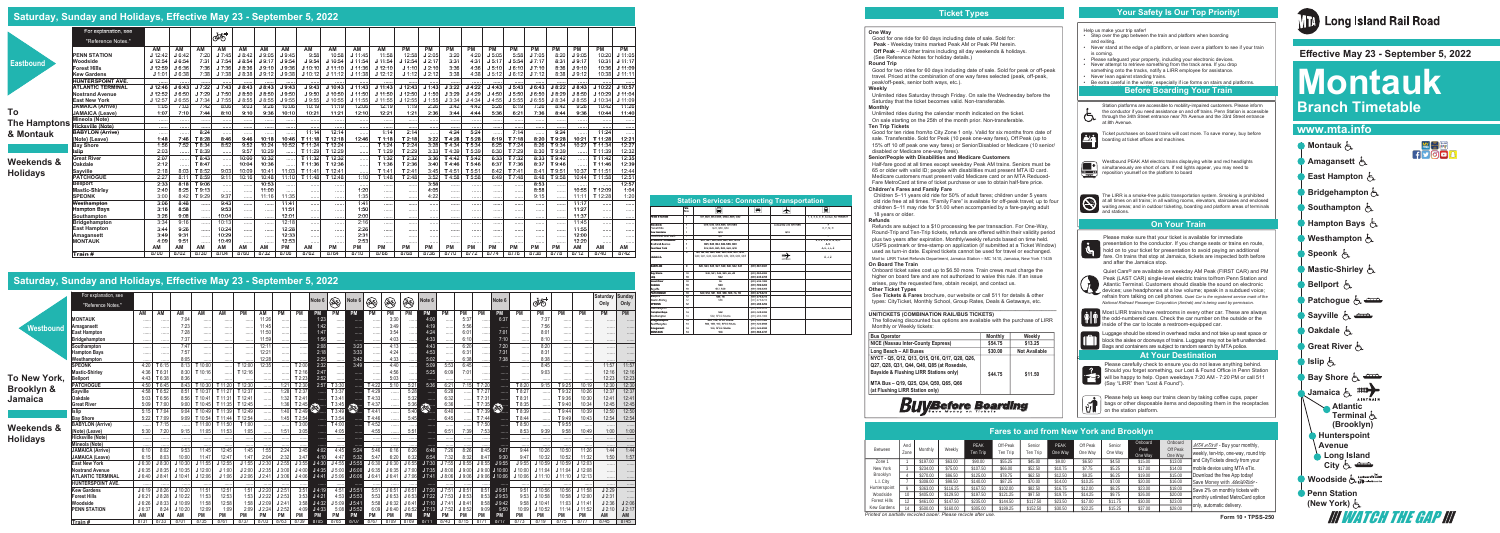| For explanation, see<br>ண்<br>"Reference Notes."<br>AM<br>AM<br>AM<br>AM<br>AM<br>AM<br>PM<br>PM<br>PM<br><b>PM</b><br>PM<br>PM<br><b>PM</b><br><b>PM</b><br>AM<br>AM<br>AM<br>AM<br><b>PM</b><br><b>PM</b><br>AM<br>J6:42<br>7:20<br>J7:45<br>J7:05<br>8:20<br>10:20<br><b>PENN STATION</b><br>J 12:42<br>J 8:42<br>J9:05<br>J9:45<br>9:58<br>10:58<br>J 11:45<br>11:58<br>12:58<br>J2:05<br>3:20<br>4:20<br>J 5:05<br>J9:05<br>5:58<br>$J$ 12:54<br>J 6:54<br>7:31<br>J7:54<br>J9.54<br>J 11:54<br>J 12:54<br>4:31<br>J 5:54<br>8:31<br>J9:17<br>10:31<br>J 8:54<br>J9:17<br>J9:54<br>$J$ 10:54<br>J 11:54<br>J2:17<br>3:31<br>J 5:17<br>J7:17<br>Woodside<br><b>Eastbound</b><br><b>Forest Hills</b><br>7:36<br>8:36<br>J 12:59<br>J6:36<br>J7:36<br>J8:36<br>J9:10<br>J9:36<br>J 10:10<br>J 11:36<br>J 12:10<br>J 1:10<br>J2:10<br>3:36<br>4:36<br>J6:10<br>J7:10<br>J9:10<br>10:36<br>$J$ 11:10<br>J 5:10<br>7:38<br>3:38<br>J 1:01<br>J7:38<br>J8:38<br>J9:38<br>J 10:12<br>J 11:38<br>J 1:12<br>4:38<br>8:38<br>J9:12<br><b>Kew Gardens</b><br>J6:38<br>J 9:12<br>J 11:12<br>J 12:12<br>J 2:12<br>J 5:12<br>J 6:12<br>J7:12<br>10:38<br><b>HUNTERSPOINT AVE.</b><br><br><br>J3:22<br>J7:22<br>J11:43<br>J4:22<br>J6:43<br>J 8:22<br>J6:43<br>J7:43<br>J 8:43<br>J 8:43<br>J9:43<br>J9:43<br>J 10:43<br>J 11:43<br>J12:43<br>J 1:43<br>$J$ 4:43<br>J 5:43<br>J8:43<br>J 10:22<br><b>ATLANTIC TERMINAL</b><br>$J$ 12:46<br>J 7:29<br>J 12:50<br>J4:29<br>J 8:29<br><b>Nostrand Avenue</b><br>J 12:52<br>J6:50<br>J7:50<br>J8:50<br>J9:50<br>J9:50<br>J 10:50<br>J 11:50<br>J 1:50<br>J3:29<br>J 5:50<br>J6:50<br>J 8:50<br>J 10:29<br>J 8:50<br>J 11:50<br>J4:50<br>J 12:57<br>J7:34<br>J7:55<br>J9:55<br>J9:55<br>$J$ 10:55<br>$J$ 11:55<br>J 12:55<br>J 1:55<br>J4:34<br>J 5:55<br>J 8:34<br>J 8:55<br>$J$ 10:34<br><b>East New York</b><br>J6:55<br>J 8:55<br>J8:55<br>$J$ 11:55<br>J3:34<br>J4:55<br>J6:55<br>4:42<br><b>JAMAICA (Arrive)</b><br>1:05<br>7:03<br>7:42<br>9:03<br>9:26<br>10:06<br>10:19<br>12:06<br>12:19<br>2:26<br>3:42<br>5:26<br>7:26<br>8:42<br>9:26<br>10:42<br>8:06<br>11:19<br>1:19<br>6:19<br>To<br><b>JAMAICA (Leave)</b><br>1:07<br>12:21<br>1:21<br>2:36<br>7:36<br>9:36<br>7:10<br>7:44<br>8:10<br>9:10<br>9:36<br>10:10<br>10:21<br>11:21<br>12:10<br>3:44<br>4:44<br>5:36<br>6:21<br>8:44<br>10:44<br>Mineola (Note)<br><b>The Hamptons</b><br><br>.<br><br><b>Hicksville (Note)</b><br><br><br><br><br><br><br><br><br><br><br>.<br><br>$\cdots$<br><br><br><br>$\cdots$<br>.<br><br><br><br>4:24<br>11:14<br>12:14<br>1:14<br>2:14<br>5:24<br>7:14<br>9:24<br>11:24<br><b>BABYLON (Arrive)</b><br>8:24<br>& Montauk<br>.<br><br><br><br><br><br><br><br>.<br><br><br>8:20<br>1:48<br>7:46<br>T 8:28<br>8:46<br>9:46<br>10:18<br>10:46<br>T 11:18<br>T 12:18<br>12:46<br>T 1:18<br>T2:18<br>3:22<br>T 4:28<br>T 5:28<br>6:19<br>T 7:18<br>T 9:28<br>10:21<br>T 11:28<br>(Note) (Leave)<br>8:52<br>9:52<br>3:28<br>T 5:34<br>1:56<br>7:52<br>10:24<br>10:52<br>T2:24<br>T 4:34<br>6:25<br>8:26<br>T 9:34<br>10:27<br><b>Bav Shore</b><br>T 8:34<br>T 11:24<br>T 12:24<br>T 1:24<br>T 7:24<br>T 11:34<br>.<br>2:03<br>T 8:39<br>9:57<br>10:29<br>T 11:29<br>T 12:29<br>T 1:29<br>T 2:29<br>3:33<br>T 5:39<br>T 7:29<br>8:30<br>T 9:39<br>Islip<br>T4:39<br>6:30<br>T 11:39<br><br><br><br><br><br>3:36<br>T 2:32<br>10:32<br>T 11:32<br>T 12:32<br>T 5:42<br>6:33<br>T 7:32<br>8:33<br>T 9:42<br><b>Great River</b><br>2:07<br>T 8:43<br>10:00<br>T1:32<br>T 4:42<br>T 11:42<br>.<br><br>.<br><br><br><b>Weekends &amp;</b><br>2:12<br>T 8:47<br>T 11:36<br>T 12:36<br>T 1:36<br>T 2:36<br>3:40<br>T 5:46<br>T 7:36<br>8:37<br>T 9:46<br>Oakdale<br>10:04<br>10:36<br>T4:46<br>6:37<br>T 11:46<br>.<br><br>1.1.1.1<br><br><br>9:03<br>Sayville<br>8:03<br>T 8:52<br>10:09<br>11:03<br>T2:41<br>T7:41<br>2:18<br>T 11:41<br>T 12:41<br>T 1:41<br>3:45<br>T 4:51<br>T 5:51<br>6:42<br>8:41<br>T 9:51<br>10:37<br>10:41<br>T 11:51<br><b>Holidays</b><br>.<br>3:52<br><b>PATCHOGUE</b><br>2:27<br>T 8:59<br>9:11<br>10:16<br>10:48<br>11:10<br>1:10<br>T 1:48<br>T 2:48<br>T 4:58<br>T 5:58<br>T 7:48<br>8:48<br>T 9:58<br>8:11<br>T 11:48<br>T 12:48<br>6:49<br>10:44<br>T 11:58<br>T 9:06<br>10:53<br>3:58<br>2:33<br>8:18<br>8:53<br><b>Bellport</b><br><br><br><br><br><br>.<br><br><br>.<br><br><br><br><br><br><br>T 9:13<br>2:40<br>8:25<br>11:00<br>1:20<br>4:05<br>8:58<br>10:55<br>T 12:09<br><b>Mastic-Shirley</b><br><br><br><br><br><br><br><br><br>1.1.1.1.1<br><br><br><br>T 9:29<br>9:37<br>1:35<br>9:15<br><b>SPEONK</b><br>3:00<br>11:35<br>4:22<br>T 12:28<br>8:42<br>11:16<br>11:11<br><br>$\cdots$<br><br><br><br><br>.<br><br><br><br>9:43<br>1:41<br>3:06<br>8:48<br>11:41<br>11:17<br>Westhampton<br><br><br>1.1.1.1<br>$\cdots$<br><br><br><br><br><br><br><br><br><br><br><br>8:58<br>9:53<br>3:16<br>11:51<br>1:50<br>11:27<br><b>Hampton Bays</b><br>.<br><br>.<br><br><br><br><br><br><br><br><br><br><br><br><br>9:08<br>10:04<br>12:01<br>2:00<br>11:37<br>Southampton<br>3:26<br><br><br>.<br><br><br><br><br>.<br><br>.<br><br>9:16<br>10:13<br>12:18<br>2:16<br>Bridgehampton<br>3:34<br>11:45<br><br><br><br><br>.<br><br><br><br><br><br><br><br><br><br><br>9:26<br>10:24<br>12:28<br>2:26<br>11:55<br><b>East Hampton</b><br>3:44<br><br><br><br><br><br><br><br><br><br><br>1.1.1.1<br><br><br><br><br>10:29<br>12:33<br>3:49<br>9:31<br>2:31<br>12:00<br>Amagansett<br><br><br>.<br>1.1.1.1<br>1.1.1.1<br><br><br><br><br><br><br>1.1.1.1.1<br><br><br><br><b>MONTAUK</b><br>4:09<br>10:49<br>12:53<br>2:53<br>12:20<br>9:51<br>1.1.1.1<br><br>.<br><br><br><br><br> | Saturday, Sunday and Holidays, Effective May 23 - September 5, 2022 |  |  |  |  |  |  |  |  |  |  |             |
|--------------------------------------------------------------------------------------------------------------------------------------------------------------------------------------------------------------------------------------------------------------------------------------------------------------------------------------------------------------------------------------------------------------------------------------------------------------------------------------------------------------------------------------------------------------------------------------------------------------------------------------------------------------------------------------------------------------------------------------------------------------------------------------------------------------------------------------------------------------------------------------------------------------------------------------------------------------------------------------------------------------------------------------------------------------------------------------------------------------------------------------------------------------------------------------------------------------------------------------------------------------------------------------------------------------------------------------------------------------------------------------------------------------------------------------------------------------------------------------------------------------------------------------------------------------------------------------------------------------------------------------------------------------------------------------------------------------------------------------------------------------------------------------------------------------------------------------------------------------------------------------------------------------------------------------------------------------------------------------------------------------------------------------------------------------------------------------------------------------------------------------------------------------------------------------------------------------------------------------------------------------------------------------------------------------------------------------------------------------------------------------------------------------------------------------------------------------------------------------------------------------------------------------------------------------------------------------------------------------------------------------------------------------------------------------------------------------------------------------------------------------------------------------------------------------------------------------------------------------------------------------------------------------------------------------------------------------------------------------------------------------------------------------------------------------------------------------------------------------------------------------------------------------------------------------------------------------------------------------------------------------------------------------------------------------------------------------------------------------------------------------------------------------------------------------------------------------------------------------------------------------------------------------------------------------------------------------------------------------------------------------------------------------------------------------------------------------------------------------------------------------------------------------------------------------------------------------------------------------------------------------------------------------------------------------------------------------------------------------------------------------------------------------------------------------------------------------------------------------------------------------------------------------------------------------------------------------------------------------------------------------------------------------------------------------------------------------------------------------------------------------------------------------------------------------------------------------------------------------------------------------------------------------------------------------------------------------------------------------------------------------------------------------------------------------------------------------------------------------------------------------------------------------------------------------------------------------------------------------------------------------------------------------------------------------------------------------------------------------------------------------------------------------------------------------------------------------------------------------------------------------------------------------------------------------------------------------------------------------------------------------------------------------------------------------------------------------------------------------------------------------------------------------------------------------------------------------------------------------------------------------------------------------------------------------------------------------------------------------------------------------------------|---------------------------------------------------------------------|--|--|--|--|--|--|--|--|--|--|-------------|
|                                                                                                                                                                                                                                                                                                                                                                                                                                                                                                                                                                                                                                                                                                                                                                                                                                                                                                                                                                                                                                                                                                                                                                                                                                                                                                                                                                                                                                                                                                                                                                                                                                                                                                                                                                                                                                                                                                                                                                                                                                                                                                                                                                                                                                                                                                                                                                                                                                                                                                                                                                                                                                                                                                                                                                                                                                                                                                                                                                                                                                                                                                                                                                                                                                                                                                                                                                                                                                                                                                                                                                                                                                                                                                                                                                                                                                                                                                                                                                                                                                                                                                                                                                                                                                                                                                                                                                                                                                                                                                                                                                                                                                                                                                                                                                                                                                                                                                                                                                                                                                                                                                                                                                                                                                                                                                                                                                                                                                                                                                                                                                                                                                                  |                                                                     |  |  |  |  |  |  |  |  |  |  |             |
|                                                                                                                                                                                                                                                                                                                                                                                                                                                                                                                                                                                                                                                                                                                                                                                                                                                                                                                                                                                                                                                                                                                                                                                                                                                                                                                                                                                                                                                                                                                                                                                                                                                                                                                                                                                                                                                                                                                                                                                                                                                                                                                                                                                                                                                                                                                                                                                                                                                                                                                                                                                                                                                                                                                                                                                                                                                                                                                                                                                                                                                                                                                                                                                                                                                                                                                                                                                                                                                                                                                                                                                                                                                                                                                                                                                                                                                                                                                                                                                                                                                                                                                                                                                                                                                                                                                                                                                                                                                                                                                                                                                                                                                                                                                                                                                                                                                                                                                                                                                                                                                                                                                                                                                                                                                                                                                                                                                                                                                                                                                                                                                                                                                  |                                                                     |  |  |  |  |  |  |  |  |  |  |             |
|                                                                                                                                                                                                                                                                                                                                                                                                                                                                                                                                                                                                                                                                                                                                                                                                                                                                                                                                                                                                                                                                                                                                                                                                                                                                                                                                                                                                                                                                                                                                                                                                                                                                                                                                                                                                                                                                                                                                                                                                                                                                                                                                                                                                                                                                                                                                                                                                                                                                                                                                                                                                                                                                                                                                                                                                                                                                                                                                                                                                                                                                                                                                                                                                                                                                                                                                                                                                                                                                                                                                                                                                                                                                                                                                                                                                                                                                                                                                                                                                                                                                                                                                                                                                                                                                                                                                                                                                                                                                                                                                                                                                                                                                                                                                                                                                                                                                                                                                                                                                                                                                                                                                                                                                                                                                                                                                                                                                                                                                                                                                                                                                                                                  |                                                                     |  |  |  |  |  |  |  |  |  |  | <b>PM</b>   |
|                                                                                                                                                                                                                                                                                                                                                                                                                                                                                                                                                                                                                                                                                                                                                                                                                                                                                                                                                                                                                                                                                                                                                                                                                                                                                                                                                                                                                                                                                                                                                                                                                                                                                                                                                                                                                                                                                                                                                                                                                                                                                                                                                                                                                                                                                                                                                                                                                                                                                                                                                                                                                                                                                                                                                                                                                                                                                                                                                                                                                                                                                                                                                                                                                                                                                                                                                                                                                                                                                                                                                                                                                                                                                                                                                                                                                                                                                                                                                                                                                                                                                                                                                                                                                                                                                                                                                                                                                                                                                                                                                                                                                                                                                                                                                                                                                                                                                                                                                                                                                                                                                                                                                                                                                                                                                                                                                                                                                                                                                                                                                                                                                                                  |                                                                     |  |  |  |  |  |  |  |  |  |  | J 11:05     |
|                                                                                                                                                                                                                                                                                                                                                                                                                                                                                                                                                                                                                                                                                                                                                                                                                                                                                                                                                                                                                                                                                                                                                                                                                                                                                                                                                                                                                                                                                                                                                                                                                                                                                                                                                                                                                                                                                                                                                                                                                                                                                                                                                                                                                                                                                                                                                                                                                                                                                                                                                                                                                                                                                                                                                                                                                                                                                                                                                                                                                                                                                                                                                                                                                                                                                                                                                                                                                                                                                                                                                                                                                                                                                                                                                                                                                                                                                                                                                                                                                                                                                                                                                                                                                                                                                                                                                                                                                                                                                                                                                                                                                                                                                                                                                                                                                                                                                                                                                                                                                                                                                                                                                                                                                                                                                                                                                                                                                                                                                                                                                                                                                                                  |                                                                     |  |  |  |  |  |  |  |  |  |  | $J$ 11:17   |
|                                                                                                                                                                                                                                                                                                                                                                                                                                                                                                                                                                                                                                                                                                                                                                                                                                                                                                                                                                                                                                                                                                                                                                                                                                                                                                                                                                                                                                                                                                                                                                                                                                                                                                                                                                                                                                                                                                                                                                                                                                                                                                                                                                                                                                                                                                                                                                                                                                                                                                                                                                                                                                                                                                                                                                                                                                                                                                                                                                                                                                                                                                                                                                                                                                                                                                                                                                                                                                                                                                                                                                                                                                                                                                                                                                                                                                                                                                                                                                                                                                                                                                                                                                                                                                                                                                                                                                                                                                                                                                                                                                                                                                                                                                                                                                                                                                                                                                                                                                                                                                                                                                                                                                                                                                                                                                                                                                                                                                                                                                                                                                                                                                                  |                                                                     |  |  |  |  |  |  |  |  |  |  | J 11:09     |
|                                                                                                                                                                                                                                                                                                                                                                                                                                                                                                                                                                                                                                                                                                                                                                                                                                                                                                                                                                                                                                                                                                                                                                                                                                                                                                                                                                                                                                                                                                                                                                                                                                                                                                                                                                                                                                                                                                                                                                                                                                                                                                                                                                                                                                                                                                                                                                                                                                                                                                                                                                                                                                                                                                                                                                                                                                                                                                                                                                                                                                                                                                                                                                                                                                                                                                                                                                                                                                                                                                                                                                                                                                                                                                                                                                                                                                                                                                                                                                                                                                                                                                                                                                                                                                                                                                                                                                                                                                                                                                                                                                                                                                                                                                                                                                                                                                                                                                                                                                                                                                                                                                                                                                                                                                                                                                                                                                                                                                                                                                                                                                                                                                                  |                                                                     |  |  |  |  |  |  |  |  |  |  | $J$ 11:11   |
|                                                                                                                                                                                                                                                                                                                                                                                                                                                                                                                                                                                                                                                                                                                                                                                                                                                                                                                                                                                                                                                                                                                                                                                                                                                                                                                                                                                                                                                                                                                                                                                                                                                                                                                                                                                                                                                                                                                                                                                                                                                                                                                                                                                                                                                                                                                                                                                                                                                                                                                                                                                                                                                                                                                                                                                                                                                                                                                                                                                                                                                                                                                                                                                                                                                                                                                                                                                                                                                                                                                                                                                                                                                                                                                                                                                                                                                                                                                                                                                                                                                                                                                                                                                                                                                                                                                                                                                                                                                                                                                                                                                                                                                                                                                                                                                                                                                                                                                                                                                                                                                                                                                                                                                                                                                                                                                                                                                                                                                                                                                                                                                                                                                  |                                                                     |  |  |  |  |  |  |  |  |  |  |             |
|                                                                                                                                                                                                                                                                                                                                                                                                                                                                                                                                                                                                                                                                                                                                                                                                                                                                                                                                                                                                                                                                                                                                                                                                                                                                                                                                                                                                                                                                                                                                                                                                                                                                                                                                                                                                                                                                                                                                                                                                                                                                                                                                                                                                                                                                                                                                                                                                                                                                                                                                                                                                                                                                                                                                                                                                                                                                                                                                                                                                                                                                                                                                                                                                                                                                                                                                                                                                                                                                                                                                                                                                                                                                                                                                                                                                                                                                                                                                                                                                                                                                                                                                                                                                                                                                                                                                                                                                                                                                                                                                                                                                                                                                                                                                                                                                                                                                                                                                                                                                                                                                                                                                                                                                                                                                                                                                                                                                                                                                                                                                                                                                                                                  |                                                                     |  |  |  |  |  |  |  |  |  |  | $J$ 10:57   |
|                                                                                                                                                                                                                                                                                                                                                                                                                                                                                                                                                                                                                                                                                                                                                                                                                                                                                                                                                                                                                                                                                                                                                                                                                                                                                                                                                                                                                                                                                                                                                                                                                                                                                                                                                                                                                                                                                                                                                                                                                                                                                                                                                                                                                                                                                                                                                                                                                                                                                                                                                                                                                                                                                                                                                                                                                                                                                                                                                                                                                                                                                                                                                                                                                                                                                                                                                                                                                                                                                                                                                                                                                                                                                                                                                                                                                                                                                                                                                                                                                                                                                                                                                                                                                                                                                                                                                                                                                                                                                                                                                                                                                                                                                                                                                                                                                                                                                                                                                                                                                                                                                                                                                                                                                                                                                                                                                                                                                                                                                                                                                                                                                                                  |                                                                     |  |  |  |  |  |  |  |  |  |  | J 11:04     |
|                                                                                                                                                                                                                                                                                                                                                                                                                                                                                                                                                                                                                                                                                                                                                                                                                                                                                                                                                                                                                                                                                                                                                                                                                                                                                                                                                                                                                                                                                                                                                                                                                                                                                                                                                                                                                                                                                                                                                                                                                                                                                                                                                                                                                                                                                                                                                                                                                                                                                                                                                                                                                                                                                                                                                                                                                                                                                                                                                                                                                                                                                                                                                                                                                                                                                                                                                                                                                                                                                                                                                                                                                                                                                                                                                                                                                                                                                                                                                                                                                                                                                                                                                                                                                                                                                                                                                                                                                                                                                                                                                                                                                                                                                                                                                                                                                                                                                                                                                                                                                                                                                                                                                                                                                                                                                                                                                                                                                                                                                                                                                                                                                                                  |                                                                     |  |  |  |  |  |  |  |  |  |  | J 11:09     |
|                                                                                                                                                                                                                                                                                                                                                                                                                                                                                                                                                                                                                                                                                                                                                                                                                                                                                                                                                                                                                                                                                                                                                                                                                                                                                                                                                                                                                                                                                                                                                                                                                                                                                                                                                                                                                                                                                                                                                                                                                                                                                                                                                                                                                                                                                                                                                                                                                                                                                                                                                                                                                                                                                                                                                                                                                                                                                                                                                                                                                                                                                                                                                                                                                                                                                                                                                                                                                                                                                                                                                                                                                                                                                                                                                                                                                                                                                                                                                                                                                                                                                                                                                                                                                                                                                                                                                                                                                                                                                                                                                                                                                                                                                                                                                                                                                                                                                                                                                                                                                                                                                                                                                                                                                                                                                                                                                                                                                                                                                                                                                                                                                                                  |                                                                     |  |  |  |  |  |  |  |  |  |  | 11:26       |
|                                                                                                                                                                                                                                                                                                                                                                                                                                                                                                                                                                                                                                                                                                                                                                                                                                                                                                                                                                                                                                                                                                                                                                                                                                                                                                                                                                                                                                                                                                                                                                                                                                                                                                                                                                                                                                                                                                                                                                                                                                                                                                                                                                                                                                                                                                                                                                                                                                                                                                                                                                                                                                                                                                                                                                                                                                                                                                                                                                                                                                                                                                                                                                                                                                                                                                                                                                                                                                                                                                                                                                                                                                                                                                                                                                                                                                                                                                                                                                                                                                                                                                                                                                                                                                                                                                                                                                                                                                                                                                                                                                                                                                                                                                                                                                                                                                                                                                                                                                                                                                                                                                                                                                                                                                                                                                                                                                                                                                                                                                                                                                                                                                                  |                                                                     |  |  |  |  |  |  |  |  |  |  | 11:40       |
|                                                                                                                                                                                                                                                                                                                                                                                                                                                                                                                                                                                                                                                                                                                                                                                                                                                                                                                                                                                                                                                                                                                                                                                                                                                                                                                                                                                                                                                                                                                                                                                                                                                                                                                                                                                                                                                                                                                                                                                                                                                                                                                                                                                                                                                                                                                                                                                                                                                                                                                                                                                                                                                                                                                                                                                                                                                                                                                                                                                                                                                                                                                                                                                                                                                                                                                                                                                                                                                                                                                                                                                                                                                                                                                                                                                                                                                                                                                                                                                                                                                                                                                                                                                                                                                                                                                                                                                                                                                                                                                                                                                                                                                                                                                                                                                                                                                                                                                                                                                                                                                                                                                                                                                                                                                                                                                                                                                                                                                                                                                                                                                                                                                  |                                                                     |  |  |  |  |  |  |  |  |  |  |             |
|                                                                                                                                                                                                                                                                                                                                                                                                                                                                                                                                                                                                                                                                                                                                                                                                                                                                                                                                                                                                                                                                                                                                                                                                                                                                                                                                                                                                                                                                                                                                                                                                                                                                                                                                                                                                                                                                                                                                                                                                                                                                                                                                                                                                                                                                                                                                                                                                                                                                                                                                                                                                                                                                                                                                                                                                                                                                                                                                                                                                                                                                                                                                                                                                                                                                                                                                                                                                                                                                                                                                                                                                                                                                                                                                                                                                                                                                                                                                                                                                                                                                                                                                                                                                                                                                                                                                                                                                                                                                                                                                                                                                                                                                                                                                                                                                                                                                                                                                                                                                                                                                                                                                                                                                                                                                                                                                                                                                                                                                                                                                                                                                                                                  |                                                                     |  |  |  |  |  |  |  |  |  |  | $\cdots$    |
|                                                                                                                                                                                                                                                                                                                                                                                                                                                                                                                                                                                                                                                                                                                                                                                                                                                                                                                                                                                                                                                                                                                                                                                                                                                                                                                                                                                                                                                                                                                                                                                                                                                                                                                                                                                                                                                                                                                                                                                                                                                                                                                                                                                                                                                                                                                                                                                                                                                                                                                                                                                                                                                                                                                                                                                                                                                                                                                                                                                                                                                                                                                                                                                                                                                                                                                                                                                                                                                                                                                                                                                                                                                                                                                                                                                                                                                                                                                                                                                                                                                                                                                                                                                                                                                                                                                                                                                                                                                                                                                                                                                                                                                                                                                                                                                                                                                                                                                                                                                                                                                                                                                                                                                                                                                                                                                                                                                                                                                                                                                                                                                                                                                  |                                                                     |  |  |  |  |  |  |  |  |  |  |             |
|                                                                                                                                                                                                                                                                                                                                                                                                                                                                                                                                                                                                                                                                                                                                                                                                                                                                                                                                                                                                                                                                                                                                                                                                                                                                                                                                                                                                                                                                                                                                                                                                                                                                                                                                                                                                                                                                                                                                                                                                                                                                                                                                                                                                                                                                                                                                                                                                                                                                                                                                                                                                                                                                                                                                                                                                                                                                                                                                                                                                                                                                                                                                                                                                                                                                                                                                                                                                                                                                                                                                                                                                                                                                                                                                                                                                                                                                                                                                                                                                                                                                                                                                                                                                                                                                                                                                                                                                                                                                                                                                                                                                                                                                                                                                                                                                                                                                                                                                                                                                                                                                                                                                                                                                                                                                                                                                                                                                                                                                                                                                                                                                                                                  |                                                                     |  |  |  |  |  |  |  |  |  |  | 12:21       |
|                                                                                                                                                                                                                                                                                                                                                                                                                                                                                                                                                                                                                                                                                                                                                                                                                                                                                                                                                                                                                                                                                                                                                                                                                                                                                                                                                                                                                                                                                                                                                                                                                                                                                                                                                                                                                                                                                                                                                                                                                                                                                                                                                                                                                                                                                                                                                                                                                                                                                                                                                                                                                                                                                                                                                                                                                                                                                                                                                                                                                                                                                                                                                                                                                                                                                                                                                                                                                                                                                                                                                                                                                                                                                                                                                                                                                                                                                                                                                                                                                                                                                                                                                                                                                                                                                                                                                                                                                                                                                                                                                                                                                                                                                                                                                                                                                                                                                                                                                                                                                                                                                                                                                                                                                                                                                                                                                                                                                                                                                                                                                                                                                                                  |                                                                     |  |  |  |  |  |  |  |  |  |  | 12:27       |
|                                                                                                                                                                                                                                                                                                                                                                                                                                                                                                                                                                                                                                                                                                                                                                                                                                                                                                                                                                                                                                                                                                                                                                                                                                                                                                                                                                                                                                                                                                                                                                                                                                                                                                                                                                                                                                                                                                                                                                                                                                                                                                                                                                                                                                                                                                                                                                                                                                                                                                                                                                                                                                                                                                                                                                                                                                                                                                                                                                                                                                                                                                                                                                                                                                                                                                                                                                                                                                                                                                                                                                                                                                                                                                                                                                                                                                                                                                                                                                                                                                                                                                                                                                                                                                                                                                                                                                                                                                                                                                                                                                                                                                                                                                                                                                                                                                                                                                                                                                                                                                                                                                                                                                                                                                                                                                                                                                                                                                                                                                                                                                                                                                                  |                                                                     |  |  |  |  |  |  |  |  |  |  | 12:32       |
|                                                                                                                                                                                                                                                                                                                                                                                                                                                                                                                                                                                                                                                                                                                                                                                                                                                                                                                                                                                                                                                                                                                                                                                                                                                                                                                                                                                                                                                                                                                                                                                                                                                                                                                                                                                                                                                                                                                                                                                                                                                                                                                                                                                                                                                                                                                                                                                                                                                                                                                                                                                                                                                                                                                                                                                                                                                                                                                                                                                                                                                                                                                                                                                                                                                                                                                                                                                                                                                                                                                                                                                                                                                                                                                                                                                                                                                                                                                                                                                                                                                                                                                                                                                                                                                                                                                                                                                                                                                                                                                                                                                                                                                                                                                                                                                                                                                                                                                                                                                                                                                                                                                                                                                                                                                                                                                                                                                                                                                                                                                                                                                                                                                  |                                                                     |  |  |  |  |  |  |  |  |  |  | 12:35       |
|                                                                                                                                                                                                                                                                                                                                                                                                                                                                                                                                                                                                                                                                                                                                                                                                                                                                                                                                                                                                                                                                                                                                                                                                                                                                                                                                                                                                                                                                                                                                                                                                                                                                                                                                                                                                                                                                                                                                                                                                                                                                                                                                                                                                                                                                                                                                                                                                                                                                                                                                                                                                                                                                                                                                                                                                                                                                                                                                                                                                                                                                                                                                                                                                                                                                                                                                                                                                                                                                                                                                                                                                                                                                                                                                                                                                                                                                                                                                                                                                                                                                                                                                                                                                                                                                                                                                                                                                                                                                                                                                                                                                                                                                                                                                                                                                                                                                                                                                                                                                                                                                                                                                                                                                                                                                                                                                                                                                                                                                                                                                                                                                                                                  |                                                                     |  |  |  |  |  |  |  |  |  |  | 12:39       |
|                                                                                                                                                                                                                                                                                                                                                                                                                                                                                                                                                                                                                                                                                                                                                                                                                                                                                                                                                                                                                                                                                                                                                                                                                                                                                                                                                                                                                                                                                                                                                                                                                                                                                                                                                                                                                                                                                                                                                                                                                                                                                                                                                                                                                                                                                                                                                                                                                                                                                                                                                                                                                                                                                                                                                                                                                                                                                                                                                                                                                                                                                                                                                                                                                                                                                                                                                                                                                                                                                                                                                                                                                                                                                                                                                                                                                                                                                                                                                                                                                                                                                                                                                                                                                                                                                                                                                                                                                                                                                                                                                                                                                                                                                                                                                                                                                                                                                                                                                                                                                                                                                                                                                                                                                                                                                                                                                                                                                                                                                                                                                                                                                                                  |                                                                     |  |  |  |  |  |  |  |  |  |  | 12:44       |
|                                                                                                                                                                                                                                                                                                                                                                                                                                                                                                                                                                                                                                                                                                                                                                                                                                                                                                                                                                                                                                                                                                                                                                                                                                                                                                                                                                                                                                                                                                                                                                                                                                                                                                                                                                                                                                                                                                                                                                                                                                                                                                                                                                                                                                                                                                                                                                                                                                                                                                                                                                                                                                                                                                                                                                                                                                                                                                                                                                                                                                                                                                                                                                                                                                                                                                                                                                                                                                                                                                                                                                                                                                                                                                                                                                                                                                                                                                                                                                                                                                                                                                                                                                                                                                                                                                                                                                                                                                                                                                                                                                                                                                                                                                                                                                                                                                                                                                                                                                                                                                                                                                                                                                                                                                                                                                                                                                                                                                                                                                                                                                                                                                                  |                                                                     |  |  |  |  |  |  |  |  |  |  | 12:51       |
|                                                                                                                                                                                                                                                                                                                                                                                                                                                                                                                                                                                                                                                                                                                                                                                                                                                                                                                                                                                                                                                                                                                                                                                                                                                                                                                                                                                                                                                                                                                                                                                                                                                                                                                                                                                                                                                                                                                                                                                                                                                                                                                                                                                                                                                                                                                                                                                                                                                                                                                                                                                                                                                                                                                                                                                                                                                                                                                                                                                                                                                                                                                                                                                                                                                                                                                                                                                                                                                                                                                                                                                                                                                                                                                                                                                                                                                                                                                                                                                                                                                                                                                                                                                                                                                                                                                                                                                                                                                                                                                                                                                                                                                                                                                                                                                                                                                                                                                                                                                                                                                                                                                                                                                                                                                                                                                                                                                                                                                                                                                                                                                                                                                  |                                                                     |  |  |  |  |  |  |  |  |  |  | 12:57       |
|                                                                                                                                                                                                                                                                                                                                                                                                                                                                                                                                                                                                                                                                                                                                                                                                                                                                                                                                                                                                                                                                                                                                                                                                                                                                                                                                                                                                                                                                                                                                                                                                                                                                                                                                                                                                                                                                                                                                                                                                                                                                                                                                                                                                                                                                                                                                                                                                                                                                                                                                                                                                                                                                                                                                                                                                                                                                                                                                                                                                                                                                                                                                                                                                                                                                                                                                                                                                                                                                                                                                                                                                                                                                                                                                                                                                                                                                                                                                                                                                                                                                                                                                                                                                                                                                                                                                                                                                                                                                                                                                                                                                                                                                                                                                                                                                                                                                                                                                                                                                                                                                                                                                                                                                                                                                                                                                                                                                                                                                                                                                                                                                                                                  |                                                                     |  |  |  |  |  |  |  |  |  |  | 1:04        |
|                                                                                                                                                                                                                                                                                                                                                                                                                                                                                                                                                                                                                                                                                                                                                                                                                                                                                                                                                                                                                                                                                                                                                                                                                                                                                                                                                                                                                                                                                                                                                                                                                                                                                                                                                                                                                                                                                                                                                                                                                                                                                                                                                                                                                                                                                                                                                                                                                                                                                                                                                                                                                                                                                                                                                                                                                                                                                                                                                                                                                                                                                                                                                                                                                                                                                                                                                                                                                                                                                                                                                                                                                                                                                                                                                                                                                                                                                                                                                                                                                                                                                                                                                                                                                                                                                                                                                                                                                                                                                                                                                                                                                                                                                                                                                                                                                                                                                                                                                                                                                                                                                                                                                                                                                                                                                                                                                                                                                                                                                                                                                                                                                                                  |                                                                     |  |  |  |  |  |  |  |  |  |  | 1:20        |
|                                                                                                                                                                                                                                                                                                                                                                                                                                                                                                                                                                                                                                                                                                                                                                                                                                                                                                                                                                                                                                                                                                                                                                                                                                                                                                                                                                                                                                                                                                                                                                                                                                                                                                                                                                                                                                                                                                                                                                                                                                                                                                                                                                                                                                                                                                                                                                                                                                                                                                                                                                                                                                                                                                                                                                                                                                                                                                                                                                                                                                                                                                                                                                                                                                                                                                                                                                                                                                                                                                                                                                                                                                                                                                                                                                                                                                                                                                                                                                                                                                                                                                                                                                                                                                                                                                                                                                                                                                                                                                                                                                                                                                                                                                                                                                                                                                                                                                                                                                                                                                                                                                                                                                                                                                                                                                                                                                                                                                                                                                                                                                                                                                                  |                                                                     |  |  |  |  |  |  |  |  |  |  |             |
|                                                                                                                                                                                                                                                                                                                                                                                                                                                                                                                                                                                                                                                                                                                                                                                                                                                                                                                                                                                                                                                                                                                                                                                                                                                                                                                                                                                                                                                                                                                                                                                                                                                                                                                                                                                                                                                                                                                                                                                                                                                                                                                                                                                                                                                                                                                                                                                                                                                                                                                                                                                                                                                                                                                                                                                                                                                                                                                                                                                                                                                                                                                                                                                                                                                                                                                                                                                                                                                                                                                                                                                                                                                                                                                                                                                                                                                                                                                                                                                                                                                                                                                                                                                                                                                                                                                                                                                                                                                                                                                                                                                                                                                                                                                                                                                                                                                                                                                                                                                                                                                                                                                                                                                                                                                                                                                                                                                                                                                                                                                                                                                                                                                  |                                                                     |  |  |  |  |  |  |  |  |  |  |             |
|                                                                                                                                                                                                                                                                                                                                                                                                                                                                                                                                                                                                                                                                                                                                                                                                                                                                                                                                                                                                                                                                                                                                                                                                                                                                                                                                                                                                                                                                                                                                                                                                                                                                                                                                                                                                                                                                                                                                                                                                                                                                                                                                                                                                                                                                                                                                                                                                                                                                                                                                                                                                                                                                                                                                                                                                                                                                                                                                                                                                                                                                                                                                                                                                                                                                                                                                                                                                                                                                                                                                                                                                                                                                                                                                                                                                                                                                                                                                                                                                                                                                                                                                                                                                                                                                                                                                                                                                                                                                                                                                                                                                                                                                                                                                                                                                                                                                                                                                                                                                                                                                                                                                                                                                                                                                                                                                                                                                                                                                                                                                                                                                                                                  |                                                                     |  |  |  |  |  |  |  |  |  |  |             |
|                                                                                                                                                                                                                                                                                                                                                                                                                                                                                                                                                                                                                                                                                                                                                                                                                                                                                                                                                                                                                                                                                                                                                                                                                                                                                                                                                                                                                                                                                                                                                                                                                                                                                                                                                                                                                                                                                                                                                                                                                                                                                                                                                                                                                                                                                                                                                                                                                                                                                                                                                                                                                                                                                                                                                                                                                                                                                                                                                                                                                                                                                                                                                                                                                                                                                                                                                                                                                                                                                                                                                                                                                                                                                                                                                                                                                                                                                                                                                                                                                                                                                                                                                                                                                                                                                                                                                                                                                                                                                                                                                                                                                                                                                                                                                                                                                                                                                                                                                                                                                                                                                                                                                                                                                                                                                                                                                                                                                                                                                                                                                                                                                                                  |                                                                     |  |  |  |  |  |  |  |  |  |  |             |
|                                                                                                                                                                                                                                                                                                                                                                                                                                                                                                                                                                                                                                                                                                                                                                                                                                                                                                                                                                                                                                                                                                                                                                                                                                                                                                                                                                                                                                                                                                                                                                                                                                                                                                                                                                                                                                                                                                                                                                                                                                                                                                                                                                                                                                                                                                                                                                                                                                                                                                                                                                                                                                                                                                                                                                                                                                                                                                                                                                                                                                                                                                                                                                                                                                                                                                                                                                                                                                                                                                                                                                                                                                                                                                                                                                                                                                                                                                                                                                                                                                                                                                                                                                                                                                                                                                                                                                                                                                                                                                                                                                                                                                                                                                                                                                                                                                                                                                                                                                                                                                                                                                                                                                                                                                                                                                                                                                                                                                                                                                                                                                                                                                                  |                                                                     |  |  |  |  |  |  |  |  |  |  | .           |
|                                                                                                                                                                                                                                                                                                                                                                                                                                                                                                                                                                                                                                                                                                                                                                                                                                                                                                                                                                                                                                                                                                                                                                                                                                                                                                                                                                                                                                                                                                                                                                                                                                                                                                                                                                                                                                                                                                                                                                                                                                                                                                                                                                                                                                                                                                                                                                                                                                                                                                                                                                                                                                                                                                                                                                                                                                                                                                                                                                                                                                                                                                                                                                                                                                                                                                                                                                                                                                                                                                                                                                                                                                                                                                                                                                                                                                                                                                                                                                                                                                                                                                                                                                                                                                                                                                                                                                                                                                                                                                                                                                                                                                                                                                                                                                                                                                                                                                                                                                                                                                                                                                                                                                                                                                                                                                                                                                                                                                                                                                                                                                                                                                                  |                                                                     |  |  |  |  |  |  |  |  |  |  |             |
| AM<br>PM<br><b>PM</b><br><b>PM</b><br><b>PM</b><br><b>PM</b><br><b>PM</b><br><b>PM</b><br>AM<br>ΑМ<br>AM<br>AM<br>AM<br>AM<br>AM<br><b>PM</b><br>РM<br><b>PM</b><br>РM<br><b>PM</b><br>ΑM                                                                                                                                                                                                                                                                                                                                                                                                                                                                                                                                                                                                                                                                                                                                                                                                                                                                                                                                                                                                                                                                                                                                                                                                                                                                                                                                                                                                                                                                                                                                                                                                                                                                                                                                                                                                                                                                                                                                                                                                                                                                                                                                                                                                                                                                                                                                                                                                                                                                                                                                                                                                                                                                                                                                                                                                                                                                                                                                                                                                                                                                                                                                                                                                                                                                                                                                                                                                                                                                                                                                                                                                                                                                                                                                                                                                                                                                                                                                                                                                                                                                                                                                                                                                                                                                                                                                                                                                                                                                                                                                                                                                                                                                                                                                                                                                                                                                                                                                                                                                                                                                                                                                                                                                                                                                                                                                                                                                                                                        |                                                                     |  |  |  |  |  |  |  |  |  |  | 1.1.1<br>AM |
| 8762<br>8700<br>8702<br>8730<br>8704<br>8760<br>8732<br>8706<br>8710<br>8766<br>8768<br>8772<br>8776<br>8738<br>8778<br>8712<br>8740<br>8764<br>8736<br>8770<br>8774<br>Train #                                                                                                                                                                                                                                                                                                                                                                                                                                                                                                                                                                                                                                                                                                                                                                                                                                                                                                                                                                                                                                                                                                                                                                                                                                                                                                                                                                                                                                                                                                                                                                                                                                                                                                                                                                                                                                                                                                                                                                                                                                                                                                                                                                                                                                                                                                                                                                                                                                                                                                                                                                                                                                                                                                                                                                                                                                                                                                                                                                                                                                                                                                                                                                                                                                                                                                                                                                                                                                                                                                                                                                                                                                                                                                                                                                                                                                                                                                                                                                                                                                                                                                                                                                                                                                                                                                                                                                                                                                                                                                                                                                                                                                                                                                                                                                                                                                                                                                                                                                                                                                                                                                                                                                                                                                                                                                                                                                                                                                                                  |                                                                     |  |  |  |  |  |  |  |  |  |  | 8742        |

# **Saturday, Sunday and Holidays, Effective May 23 - September 5, 2022** 6710 6714 6714 6716 6718 6718 6750 6760

6708 6014 6712 6712 6814 7624 7628 6032 7700 7704 6752 6158 7724 6762 6766 6770

#### **Station Services Fare Zone** .<br>Pensi masa seperti 1, 1 M34<br>Andra Stational Mass de Mass de Mass de Mass de Mass de Mass de Mass de Mass de Mass <br>Antonio Mass de Mass de Mass de Mass de Mass de Mass de Mass de Mass de Mass de Mass de Mass de Mass de Ma Q23, Q60, Q64 **Kew Gardens** 1 Q10 Q10 Q40, Q41, Q43, Q44-SBS, Q54, Q56, **BABYLON S20, S23, S25, S27, S29, S40, S42**  $S40, S41, S42, S45, 2A, 2B$ **Islip 10 S42 (631) 435-2705 Great River 10 10 3C (631) 232-1900 Oakdale** 10 S40 (631) 589 0203 589-0203 **Sayville** 10 10 S57, S59 (631) 589-0203  $840, S54, S61, S63, S66, S68,$ **Bellport 12 | 12 | S68, 7B | (631) 475-6213 Mastic-Shirley** 12 S66 (631) 475-6213 **SPEONK Westhampton** 14 (631) 288-3252 288 3252 **Hampton Bays<br>Southampton<br>Bridgehampton Southampton** 14 S92, SFCC Shuttle (631) 283-1900 283 1900 **Bridgehampton** 14 S92 10B SFCC Shuttle S92, 10B, (631) 537-7400 **E t H t East Hampton** 14 S92 10B 10C SFCC Sh tl S92, 10B, 10C, Shutle ,,, (631) 324 9696 324-9696( ) **Amagansett** 14 10C, SFCC Shuttle (631) 324-9696 **East Hampton | 14 | S92, 10B, 10C, SFCC Shutle | (631) 324-9696<br>| Amaganasett | 14 | 10C, SFCC Shutle | (631) 324-9696<br>| MONTAUK | 14 | 16C | 16C | (631) 668-4747**

|                       | For explanation, see<br>"Reference Notes." |        |          |         |           |         |          |           |           |                       | Note 6          |           | Note 6    | ۱         | ❀         | $\circledast$ | Note 6    |         |           |           | Note 6             |          | ණ්        |         |           | Saturday<br>Only | Sunday<br>Only |
|-----------------------|--------------------------------------------|--------|----------|---------|-----------|---------|----------|-----------|-----------|-----------------------|-----------------|-----------|-----------|-----------|-----------|---------------|-----------|---------|-----------|-----------|--------------------|----------|-----------|---------|-----------|------------------|----------------|
|                       |                                            | АM     | AM       | AM      | AM        | AM      | PM       | AM        | <b>PM</b> | PM                    | <b>PM</b>       | PM        | <b>PM</b> | PM        | PM        | <b>PM</b>     | PM.       | PM      | <b>PM</b> | <b>PM</b> | <b>PM</b>          | PM       | PM        | PM      | PM        | <b>PM</b>        | PM             |
|                       | <b>MONTAUK</b>                             |        |          | 7:04    | 1.1.1.1   |         | $\cdots$ | 11:26     |           |                       | 1:23            |           |           |           | 3:30      | .             | 4:00      |         | 5:37      |           | 6:37               | $\cdots$ | 7:37      |         |           | 1.1.1.1          |                |
| Westbound             | Amagansett                                 |        | 1.111    | 7:23    |           |         |          | 11:45     |           |                       | 1:42            |           | 1.1.1.1   | 1.1.1.1   | 3:49      | .             | 4:19      |         | 5:56      |           | 1.1.1.1            | 1.1.1.1  | 7:56      |         | 1.1.1.1   |                  |                |
|                       | <b>East Hampton</b>                        |        |          | 7:28    |           |         |          | 11:50     |           |                       | 1:47            |           | $\cdots$  | 1.111     | 3:54      |               | 4:24      |         | 6:01      |           | 7:01               | $\cdots$ | 8:01      |         |           |                  |                |
|                       | Bridgehampton                              |        | $\cdots$ | 7:37    |           |         |          | 11:59     |           |                       | 1:56            |           |           |           | 4:03      |               | 4:33      |         | 6:10      |           | 7:10               |          | 8:10      |         |           | $\cdots$         |                |
|                       | Southampton                                |        | 1.111    | 7:47    |           |         |          | 12:11     |           | .                     | 2:08            |           | 3:23      | 1.111     | 4:13      | .             | 4:43      | .       | 6:20      |           | 7:20               | 1.1.1.1  | 8:20      |         | 1.1.1.1   |                  |                |
|                       | <b>Hampton Bays</b>                        |        |          | 7:57    | 1.1.1.1.1 |         |          | 12:21     |           | 1.1.1.1               | 2:18            |           | 3:33      |           | 4:24      |               | 4:53      |         | 6:31      |           | 7:31               | 1.1.1.1  | 8:31      |         |           |                  |                |
|                       | Westhampton                                |        |          | 8:05    |           |         |          | 12:28     |           | $\sim$ $\sim$ $\sim$  | 2:25            |           | 3:42      |           | 4:33      |               | 5:02      |         | 6:38      | 1.1.1.1.1 | 7:38               | $\cdots$ | 8:38      |         |           | $-1$             |                |
|                       | <b>SPEONK</b>                              | 4:20   | T 6:15   | 8:13    | 10:00     | .       | 12:00    | 12:35     |           | T2:00                 | 2:32            |           | 3:49      |           | 4:40      | .             | 5:09      | 5:53    | 6:45      |           |                    |          | 8:45      |         |           | 11:57            | 11:57          |
|                       | <b>Mastic-Shirlev</b>                      | 4:36   | T 6:31   | 8:30    | T 10:16   |         | T 12:16  |           |           | r 2:16                | 2:47            |           |           |           | 4:56      |               | 5:25      | 6:09    | 7:01      |           | $\cdots$           |          | 9:03      |         |           | 12:16            | 12:16          |
| To New York,          | <b>Bellport</b>                            | 4:43   | T 6:38   | 8:36    |           |         |          |           |           | T2:23                 | 2:52            |           |           |           | 5:03      |               |           |         |           |           |                    |          |           |         |           | 12:23            | 12:23          |
| <b>Brooklyn &amp;</b> | <b>PATCHOGUE</b>                           | 4:50   | T 6:45   | 8:43    | T 10:30   | T 11:20 | T 12:30  |           | 1:21      | T 2:30                | 2:57            | T 3:30    | $\cdots$  | T 4:22    | 5:10      | 5:21          | 5:36      | 6:21    | 7:15      | T 7:20    |                    | T 8:20   | 9:15      | T 9:25  | 10:19     | 12:30            | 12:30          |
|                       | Sayville                                   | 4:58   | T 6:52   | 8:51    | T 10:37   | T 11:27 | T 12:37  |           | 1:28      | T2:37                 |                 | T 3:37    |           | T 4:29    |           | 5:28          |           | 6:28    |           | T 7:27    |                    | T 8:27   |           | T 9:32  | 10:26     | 12:37            | 12:37          |
| Jamaica               | Oakdale                                    | 5:03   | T 6:56   | 8:56    | T 10:41   | T 11:31 | T 12:4'  | 1.1.1.1   | 1:32      | T2:41                 |                 | T 3:41    |           | T 4:33    |           | 5:32          |           | 6:32    |           | T 7:31    |                    | T 8:31   |           | T 9:36  | 10:30     | 12:41            | 12:4'          |
|                       | <b>Great River</b>                         | 5:09   | $T$ 7:00 | 9:00    | T 10:45   | T 11:35 | T 12:45  |           | 1:36      | $\frac{12.45}{12.49}$ |                 | T3:45     |           | T 4:37    |           | 5:36          | Þ         | 6:36    |           | T 7:35    | E                  | T 8:35   |           | T 9:40  | 10:34     | 12:45            | 12:45          |
|                       | Islip                                      | 5:15   | T 7:04   | 9:04    | T 10:49   | T 11:39 | T 12:49  |           | 1:40      |                       |                 | T 3:49    | E         | T 4:41    |           | 5:40          |           | 6:40    |           | T 7:39    |                    | T 8:39   |           | T 9:44  | 10:39     | 12:50            | 12:50          |
|                       | <b>Bay Shore</b>                           | 5:22   | T 7:09   | 9:09    | T 10:54   | T 11:44 | T 12:54  |           | 1:45      | T2:54                 |                 | T 3:54    |           | T 4:46    |           | 5:45          |           | 6:45    |           | T 7:44    |                    | T 8:44   |           | T 9:49  | 10:43     | 12:54            | 12:54          |
|                       | <b>BABYLON (Arrive)</b>                    |        | $T$ 7:15 |         | T 11:00   | T 11:50 | T 1:00   | 1.1.1.1   |           | T 3:00                |                 | T4:00     |           | T 4:52    |           |               |           | 1.1.1.1 |           | T 7:50    |                    | T 8:50   |           | T 9:55  |           |                  |                |
| Weekends &            | (Note) (Leave)                             | 5:30   | 7:20     | 9:15    | 11:05     | 11:53   | 1:05     |           | 1:51      | 3:05                  |                 | 4:05      |           | 4:55      |           | 5:51          |           | 6:51    | 7:39      | 7:53      |                    | 8:53     | 9:39      | 9:58    | 10:49     | 1:00             | 1:00           |
| <b>Holidays</b>       | Hicksville (Note)                          |        |          |         |           |         |          | 1.1.1.1   |           |                       |                 |           |           |           |           |               |           |         |           |           |                    |          |           |         |           | .                |                |
|                       | Mineola (Note)                             |        |          |         |           |         |          |           |           |                       |                 |           |           |           |           |               |           |         |           |           |                    |          |           |         |           |                  | 1.1.1.1        |
|                       | <b>JAMAICA (Arrive)</b>                    | 6:10   | 8:02     | 9:53    | 11:45     | 12:45   | 1:45     | 1:55      | 2:24      | 3:45                  | 4:02            | 4:45      | 5:24      | 5:46      | 6:16      | 6:26          | 6:48      | 7:26    | 8:26      | 8:45      | 9:27               | 9:44     | 10:26     | 10:50   | 11:26     | 1:44             | 1:44           |
|                       | JAMAICA (Leave)                            | 6:15   | 8:03     | 10:00   | 11:47     | 12:47   | 1:47     | 2:04      | 2:32      | 3:47                  | 4:10            | 4:47      | 5:32      | 5:47      | 6:20      | 6:32          | 6:54      | 7:32    | 8:32      | 8:47      | 9:30               | 9:47     | 10:32     | 10:52   | 11:32     | 1:50             | 1:57           |
|                       | <b>East New York</b>                       | J6:30  | J 8:30   | J 10:30 | J 11:55   | J 12:55 | J 1:55   | J2:30     | J2:55     | J3:55                 | J4:30           | $J$ 4:55  | J 5:55    | J6:30     | J6:30     | 6:55          | J7:30     | J7:55   | J8:55     | J8:55     | J9:55              | J9:55    | J 10:59   | J 10:59 | J 12:03   |                  | 1.1.1.1        |
|                       | <b>Nostrand Avenue</b>                     | J6:35  | J 8:35   | J 10:35 | J 12:00   | J 1:00  | J2:00    | J2:35     | J3:00     | $J$ 4:00              | $J$ 4:35        | J 5:00    | J6:00     | J6:35     | J6:35     | J7:00         | J7:35     | J 8:00  | J9:00     |           | $J$ 9:00 $J$ 10:00 | J 10:00  | J 11:04   | J 11:04 | J 12:08   |                  |                |
|                       | <b>ATLANTIC TERMINAL</b>                   | J 6:40 | J 8:41   | J 10:4' | J 12:06   | J 1:06  | J2:06    | J2:41     | J3:06     | J4:06                 | J4:41           | J 5:06    | J6:06     | J6:41     | J6:41     | J7:06         | J7:41     | J 8:06  | J9:06     |           | J 9:06 J 10:06     | J 10:06  | J 11:10   | J 11:10 | $J$ 12:13 |                  |                |
|                       | <b>HUNTERSPOINT AVE.</b>                   |        |          |         |           |         |          |           |           |                       |                 |           |           |           |           |               |           |         |           |           |                    |          |           |         |           | 1.1.1.1          |                |
|                       | <b>Kew Gardens</b>                         | J6:19  | J 8:26   | J 10:20 | 11:51     | 12:51   | 1:51     | J2:20     | J2:51     | 3:51                  | $J$ 4:19        | 4:51      | J 5:51    | 5:51      | J6:51     | J 6:51        | J7:20     | J7:51   | J 8:51    | 8:51      | J9:51              | 9:51     | J 10:56   | 10:56   | J 11:58   | J2:29            |                |
|                       | <b>Forest Hills</b>                        | J6:21  | J 8:28   | J 10:22 | 11:53     | 12:53   | 1:53     | J2:22     | J2:53     |                       | $3:53$ J 4:21   | 4:53      | J 5:53    | 5:53      | J6:53     | J 6:53        | J7:22     | J7:53   | J 8:53    | 8:53      | J9:53              | 9:53     | J 10:58   | 10:58   | J 12:00   | J2:31            |                |
|                       | Woodside                                   | J6:26  | J 8:33   | J 10:09 | 11:58     | 12:58   | 1:58     | J2:09     | J2:41     |                       | $3:58$ J 4:32   | J 5:09    | J 5:41    | 5:58      | J6:32     | J6:41         | J7:10     | J7:41   | J 8:4'    | 8:58      | J9:42              | 9:58     | J 10:41   | 11:03   | J 11:41   | J2:36            | J2:06          |
|                       | <b>PENN STATION</b>                        | J6:37  | 8:24     | J 10:20 | 12:09     | 1:09    | 2:09     | J2:24     | J2:52     |                       | $4:09$ J $4:33$ | 5:08      | J 5:52    | 6:09      | J6:40     | J 6:52        | J7:13     | J7:52   | J 8:52    | 9:09      | 9:50               | 10:09    | J 10:52   | 11:14   | J 11:52   | J2:10            | J 2:17         |
|                       |                                            | AM     | AM       | AM      | PM        | PM      | PM       | <b>PM</b> | <b>PM</b> | PM                    | <b>PM</b>       | <b>PM</b> | <b>PM</b> | <b>PM</b> | <b>PM</b> | <b>PM</b>     | <b>PM</b> | PM      | <b>PM</b> | PM        | <b>PM</b>          | PM       | <b>PM</b> | PM      | PM        | AM               | AM             |
|                       | Train #                                    | 8731   | 8733     | 8701    | 8735      | 8761    | 8737     | 8703      | 8763      | 8739                  | 8705            | 8765      | 8707      | 8767      | 8709      | 8769          | 8711      | 8743    | 8715      | 8771      | 8717               |          | 8719      | 8775    | 8777      | 8745             | 8745           |

- Help us make your trip safer!
- Step over the gap between the train and platform when boarding and exiting.
- Never stand at the edge of a platform, or lean over a platform to see if your train is coming.
- Please safeguard your property, including your electronic devices.
- Never attempt to retrieve something from the track area. If you drop
- something onto the tracks, notify a LIRR employee for assistance.
- Never lean against standing trains. • Be extra careful in the winter, especially if ice forms on stairs and platforms.

# **Before Boarding Your Train**

Westbound PEAK AM electric trains displaying white and red headlights  $\blacksquare$ <sup> $\blacksquare$ </sup> simultaneously are short of cars. If red lights appear, you may need to reposition yourself on the platform to board

The LIRR is a smoke-free public transportation system. Smoking is prohibited<br>at all times on all trains; in all waiting rooms, elevators, staircases and enclosed<br>waiting areas; and in outdoor ticketing, boarding and platfo

 **Effective May 23 - September 5, 2022**

# **Montauk Branch Timetable**

# **www.mta.info**

- Montauk 占
- **Amagansett**  $\overline{f}_x$
- **KKI 19 000**
- **East Hampton** 占
- **Bridgehampton** 占
- **Southampton**
- **Hampton Bays** 占
- **▶ Westhampton**
- **Speonk** 占
- **Mastic-Shirley** A
- **Bellport**  $\overline{\mathcal{F}}$
- **Patchogue**  $\overline{\mathbf{A}}$
- Sayville *है*, <del>अ</del>
- **Dakdale** A
- **Sreat River** 占
- **Islip** 点
- **Bay Shore**  $\ket{m}$ **Jamaica ALRTRAIN**
- **Hunterspoint Atlantic Terminal** 占 **(Brooklyn)**
- **Avenue Long Island City** & **Woodside**

**Penn Station (New York) III WATCH THE GAP III** 





Good for one ride for 60 days including date of sale. Sold for: **Peak** - Weekday trains marked Peak AM or Peak PM herein.  **Off Peak** – All other trains including all day weekends & holidays. (See Reference Notes for holiday details.)

#### **Round Trip**

Good for two rides for 60 days including date of sale. Sold for peak or off-peak travel. Priced at the combination of one way fares selected (peak, off-peak, peak/off-peak, senior both ways, etc.).

#### **Weekly**

Unlimited rides Saturday through Friday. On sale the Wednesday before the Saturday that the ticket becomes valid. Non-transferable.

#### **Monthly**

Unlimited rides during the calendar month indicated on the ticket. On sale starting on the 25th of the month prior. Non-transferable. **Ten Trip Tickets**

Good for ten rides from/to City Zone 1 only. Valid for six months from date of sale. Transferable. Sold for Peak (10 peak one-way fares), Off Peak (up to 15% off 10 off peak one way fares) or Senior/Disabled or Medicare (10 senior/ disabled or Medicare one-way fares).

#### **Senior/People with Disabilities and Medicare Customers**

Half-fare good at all times except weekday Peak AM trains. Seniors must be 65 or older with valid ID; people with disabilities must present MTA ID card. Medicare customers must present valid Medicare card or an MTA Reduced-Fare MetroCard at time of ticket purchase or use to obtain half-fare price. **Children's Fares and Family Fare**

Children 5–11 years old ride for 50% of adult fares; children under 5 years old ride free at all times. "Family Fare" is available for off-peak travel; up to four children 5–11 may ride for \$1.00 when accompanied by a fare-paying adult 18 years or older. **Refunds**

Refunds are subject to a \$10 processing fee per transaction. For One-Way, Round-Trip and Ten-Trip tickets, refunds are offered within their validity period plus two years after expiration. Monthly/weekly refunds based on time held. USPS postmark or time-stamp on application (if submitted at a Ticket Window) used as turn-in date. Expired tickets cannot be used for travel or exchanged. Mail to: LIRR Ticket Refunds Department, Jamaica Station – MC 1410, Jamaica, New York 11435 **On Board The Train**

Onboard ticket sales cost up to \$6.50 more. Train crews must charge the higher on board fare and are not authorized to waive this rule. If an issue arises, pay the requested fare, obtain receipt, and contact us. **Other Ticket Types** 

See **Tickets & Fares** brochure, our website or call 511 for details & other types: CityTicket, Monthly School, Group Rates, Deals & Getaways, etc.

# **\_\_\_\_\_\_\_\_\_\_\_\_\_\_\_\_\_\_\_\_\_\_\_\_\_\_\_\_\_\_\_\_\_\_\_\_\_\_\_\_\_\_\_\_\_\_\_\_\_\_\_\_\_\_\_\_\_\_\_\_\_\_\_ UNITICKETS (COMBINATION RAIL/BUS TICKETS)**

The following discounted bus options are available with the purchase of LIRR Monthly or Weekly tickets:

| <b>Bus Operator</b>                                                                                                                   | Monthly | Weekly               |
|---------------------------------------------------------------------------------------------------------------------------------------|---------|----------------------|
| NICE (Nassau Inter-County Express)                                                                                                    | \$54.75 | \$13.25              |
| Long Beach - All Buses                                                                                                                | \$30.00 | <b>Not Available</b> |
| NYCT - Q5, Q12, Q13, Q15, Q16, Q17, Q20, Q26,<br>Q27, Q28, Q31, Q44, Q48, Q85 (at Rosedale,<br>Bayside & Flushing LIRR Stations only) | \$44.75 | \$11.50              |
| MTA Bus - Q19, Q25, Q34, Q50, Q65, Q66<br>(at Flushing LIRR Station only)                                                             |         |                      |
|                                                                                                                                       |         |                      |

*Printed on partially recycled paper. Please recycle after use.*

Station platforms are accessible to mobility-impaired customers. Please inform the conductor if you need assistance on and off trains. Penn Station is accessible G through the 34th Street entrance near 7th Avenue and the 33rd Street entrance at 8th Avenue.

Ticket purchases on board trains will cost more. To save money, buy before boarding at ticket offices and machines.





**Between And Zone Monthly Weekly PEAK Ten Trip Off-Peak Ten Trip Senior Ten Trip PEAK One Way Off Peak One Way Senior One Way Onboard Peak One Way Onboard Off Peak One Way** 1 \$197.00 \$63.00 \$90.00 \$55.25 \$45.00 \$9.00 \$6.50 \$4.50 \$15.00 \$13.00 **3 \$234.00 \$75.00 \$107.50 \$66.00 \$52.50 \$10.75 \$7.75 \$\$5.25 \$17.00 \$14.00 4 \$270.00 \$86.50 \$125.00 \$78.75 \$62.50 \$12.50 \$9.25 \$6.25 \$19.00 \$15.00 \$7.00 \$20.00 9 \$363.00 \$116.25 \$167.50 \$102.00 \$82.50 \$16.75 \$12.00 \$8.25 \$23.00 \$18.00 1** \$9.75 **\$26.00 12 \$147.5** \$11.75 **\$12.00 14 \$500.00 \$160.00 \$305.00 \$189.25 \$152.50 \$30.50 \$22.25 \$15.25 \$37.00 \$28.00** *MTA eTix®* - Buy your monthly, weekly, ten-trip, one-way, round trip and CityTickets direcly from your mobile device using MTA eTix. Download the free App today! **Save Money with** *Mail&Ride* - Save 2% on monthly tickets with monthly unlimited MetroCard option only, automatic delivery. **Zone 1 New York Brooklyn L.I. City Hunterspoint Woodsi Forest Hill Kew Gardens**

**MTA** Long Island Rail Road

| <b>Ticket Types</b> | <b>Your Safety Is Our Top Priority!</b> |
|---------------------|-----------------------------------------|
|                     |                                         |

#### **On Your Train**

|                          |                     | <b>Station Services: Connecting Transportation</b>                                      |                |                        |                                      |
|--------------------------|---------------------|-----------------------------------------------------------------------------------------|----------------|------------------------|--------------------------------------|
|                          | Fare<br><b>Zone</b> | 8                                                                                       | ⊜              | ╈                      | 負                                    |
| PENN STATION             | 1                   | M7. M20. M34-SBS. M34A-SBS. Q32                                                         |                |                        | 1, 2, 3, A, C, E, Amtrak, NJ TRANSIT |
| Woodside                 | 1                   | Q18, Q32, Q53-SBS, Q70-SBS                                                              |                | LaGuardia Link O70 SBS | $\overline{\phantom{a}}$             |
| <b>Forest Hills</b>      |                     | Q23, Q60, Q64                                                                           |                |                        | E.F.M.R                              |
| Kew Gardens              |                     | O10                                                                                     |                | Q10                    |                                      |
| HUNTERSPOINT AVE.        | 1                   | 067                                                                                     |                |                        |                                      |
| <b>ATLANTIC TERMINAL</b> |                     | B37. B41. B45. B63. B65. B67. B103.                                                     |                |                        | 2.3.4.5.B.D.N.Q.R                    |
| <b>Nostrand Avenue</b>   |                     | B25, B26, B44, B44-SBS, B49                                                             |                |                        | A.C                                  |
| East New York            |                     | B12, B20, B25, B83, Q24, Q56                                                            |                |                        | A, C, J, L, Z                        |
| <b>JAMAICA</b>           | 3                   | Q6, Q8, Q9, Q20, Q24, Q25, Q30, Q31, Q34,<br>Q40, Q41, Q43, Q44-SBS, Q54, Q56, Q60, Q65 |                | ⇛                      | E. J. Z.                             |
| <b>RARYLON</b>           | q                   | S20, S23, S25, S27, S29, S40, S42, S47                                                  | (631) 661-0027 |                        |                                      |
| <b>Bay Shore</b>         | 10                  | S40, S41, S42, S45, 2A, 2B                                                              | (631) 665-4800 |                        |                                      |
| Islip                    | 10                  | S42                                                                                     | (631) 435-2705 |                        |                                      |
| <b>Great River</b>       | 10                  | 3C                                                                                      | (631) 232-1900 |                        |                                      |
| Oakriale                 | 10                  | <b>S40</b>                                                                              | (631) 589-0203 |                        |                                      |
| Savville                 | 10                  | S57, S59                                                                                | (631) 589-0203 |                        |                                      |
| <b>PATCHOGUE</b>         | 10                  | S40, S54, S61, S63, S66, S68, 7A, 7B                                                    | (631) 475-6213 |                        |                                      |
| Belloort                 | 12                  | S68.7B                                                                                  | (631) 475-6213 |                        |                                      |
| <b>Mastic-Shirley</b>    | 12                  | S66                                                                                     | (631) 475-6213 |                        |                                      |
| <b>SPEONK</b>            | 12                  |                                                                                         | (631) 288-3252 |                        |                                      |
| Westhampton              | 14                  |                                                                                         | (631) 288-3252 |                        |                                      |
| <b>Hampton Bavs</b>      | 14                  | S92                                                                                     | (631) 728-0050 |                        |                                      |
| Southampton              | 14                  | S92, SFCC Shuttle                                                                       | (631) 283-1900 |                        |                                      |
| Bridgehampton            | 14                  | S92. 10B. SFCC Shuttle                                                                  | (631) 537-7400 |                        |                                      |
| East Hampton             | 14                  | S92, 10B, 10C, SFCC Shutle                                                              | (631) 324-9696 |                        |                                      |
| Amagansett               | 14                  | 10C. SFCC Shuttle                                                                       | (631) 324-9696 |                        |                                      |